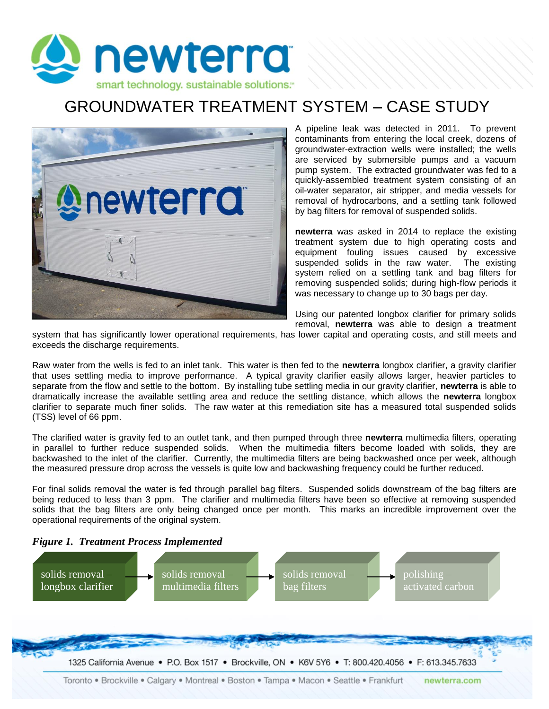

## GROUNDWATER TREATMENT SYSTEM – CASE STUDY



A pipeline leak was detected in 2011. To prevent contaminants from entering the local creek, dozens of groundwater-extraction wells were installed; the wells are serviced by submersible pumps and a vacuum pump system. The extracted groundwater was fed to a quickly-assembled treatment system consisting of an oil-water separator, air stripper, and media vessels for removal of hydrocarbons, and a settling tank followed by bag filters for removal of suspended solids.

**newterra** was asked in 2014 to replace the existing treatment system due to high operating costs and equipment fouling issues caused by excessive suspended solids in the raw water. The existing system relied on a settling tank and bag filters for removing suspended solids; during high-flow periods it was necessary to change up to 30 bags per day.

Using our patented longbox clarifier for primary solids removal, **newterra** was able to design a treatment

system that has significantly lower operational requirements, has lower capital and operating costs, and still meets and exceeds the discharge requirements.

Raw water from the wells is fed to an inlet tank. This water is then fed to the **newterra** longbox clarifier, a gravity clarifier that uses settling media to improve performance. A typical gravity clarifier easily allows larger, heavier particles to separate from the flow and settle to the bottom. By installing tube settling media in our gravity clarifier, **newterra** is able to dramatically increase the available settling area and reduce the settling distance, which allows the **newterra** longbox clarifier to separate much finer solids. The raw water at this remediation site has a measured total suspended solids (TSS) level of 66 ppm.

The clarified water is gravity fed to an outlet tank, and then pumped through three **newterra** multimedia filters, operating in parallel to further reduce suspended solids. When the multimedia filters become loaded with solids, they are backwashed to the inlet of the clarifier. Currently, the multimedia filters are being backwashed once per week, although the measured pressure drop across the vessels is quite low and backwashing frequency could be further reduced.

For final solids removal the water is fed through parallel bag filters. Suspended solids downstream of the bag filters are being reduced to less than 3 ppm. The clarifier and multimedia filters have been so effective at removing suspended solids that the bag filters are only being changed once per month. This marks an incredible improvement over the operational requirements of the original system.



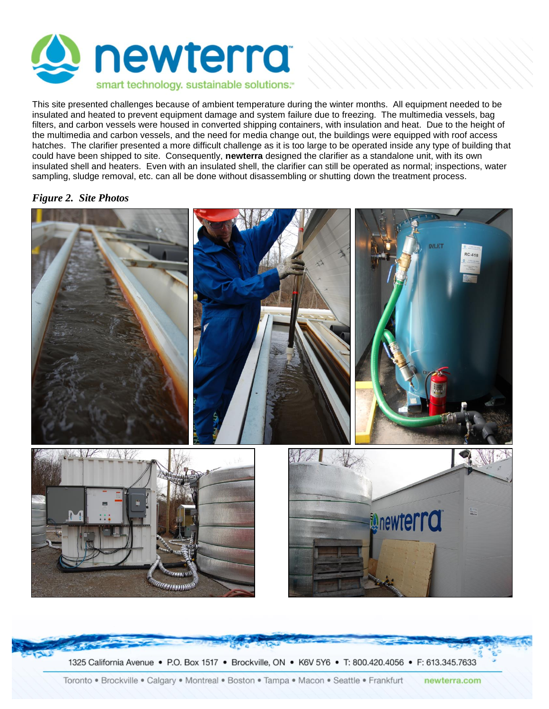

This site presented challenges because of ambient temperature during the winter months. All equipment needed to be insulated and heated to prevent equipment damage and system failure due to freezing. The multimedia vessels, bag filters, and carbon vessels were housed in converted shipping containers, with insulation and heat. Due to the height of the multimedia and carbon vessels, and the need for media change out, the buildings were equipped with roof access hatches. The clarifier presented a more difficult challenge as it is too large to be operated inside any type of building that could have been shipped to site. Consequently, **newterra** designed the clarifier as a standalone unit, with its own insulated shell and heaters. Even with an insulated shell, the clarifier can still be operated as normal; inspections, water sampling, sludge removal, etc. can all be done without disassembling or shutting down the treatment process.

## *Figure 2. Site Photos*